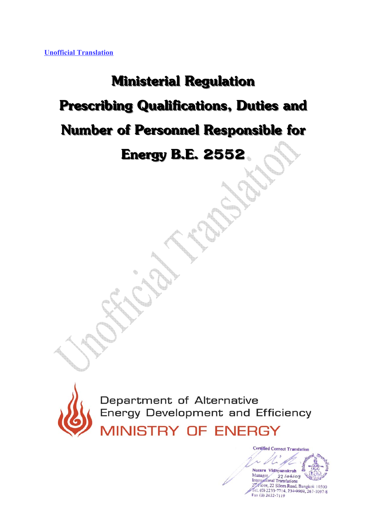## **Ministerial Regulation Prescribing Qualifications, Duties and**

## **Number of Personnel Responsible for**

**Energy B.E. 2552**



Department of Alternative Energy Development and Efficiency

**MINISTRY OF ENERGY** 

**Certified Correct Translation** Nusara Vidhyanukroh Manager  $22106109$ International Translations Ficor, 22 Silom Road, Bangkok 10500 Tel. (0) 2233-7714, 234-9969, 267-1097-8 Fax (0) 2632-7119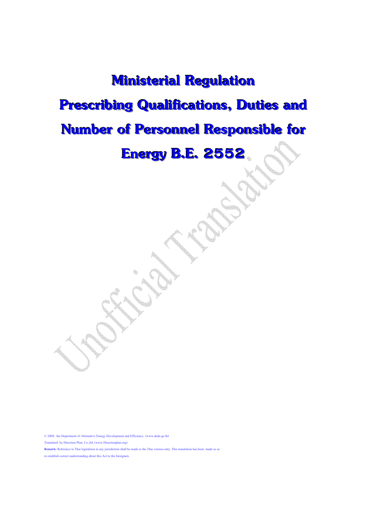## **Ministerial Regulation Prescribing Qualifications, Duties and Number of Personnel Responsible for Energy B.E. 2552**

© 2009, the Department of Alternative Energy Development and Efficiency (www.dede.go.th) Translated by Direction Plan. Co.,ltd. (www.Directionplan.org) **Remark:** Reference to Thai legislation in any jurisdiction shall be made to the Thai version only. This translation has been made so as to establish correct understanding about this Act to the foreigners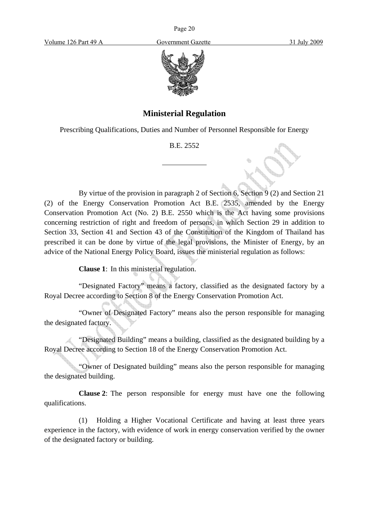Page 20

Volume 126 Part 49 A Government Gazette 31 July 2009



## **Ministerial Regulation**

Prescribing Qualifications, Duties and Number of Personnel Responsible for Energy

B.E. 2552

 $\overline{a}$ 

By virtue of the provision in paragraph 2 of Section 6, Section 9 (2) and Section 21 (2) of the Energy Conservation Promotion Act B.E. 2535, amended by the Energy Conservation Promotion Act (No. 2) B.E. 2550 which is the Act having some provisions concerning restriction of right and freedom of persons, in which Section 29 in addition to Section 33, Section 41 and Section 43 of the Constitution of the Kingdom of Thailand has prescribed it can be done by virtue of the legal provisions, the Minister of Energy, by an advice of the National Energy Policy Board, issues the ministerial regulation as follows:

**Clause 1**: In this ministerial regulation.

"Designated Factory" means a factory, classified as the designated factory by a Royal Decree according to Section 8 of the Energy Conservation Promotion Act.

"Owner of Designated Factory" means also the person responsible for managing the designated factory.

"Designated Building" means a building, classified as the designated building by a Royal Decree according to Section 18 of the Energy Conservation Promotion Act.

"Owner of Designated building" means also the person responsible for managing the designated building.

**Clause 2**: The person responsible for energy must have one the following qualifications.

(1) Holding a Higher Vocational Certificate and having at least three years experience in the factory, with evidence of work in energy conservation verified by the owner of the designated factory or building.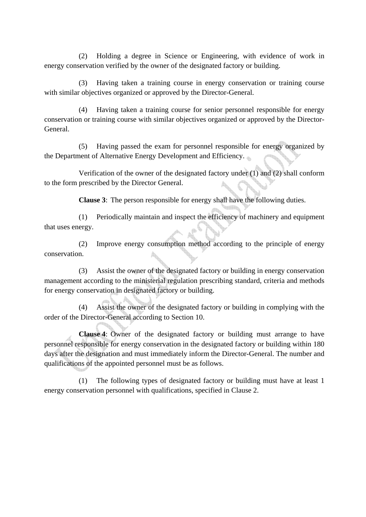(2) Holding a degree in Science or Engineering, with evidence of work in energy conservation verified by the owner of the designated factory or building.

(3) Having taken a training course in energy conservation or training course with similar objectives organized or approved by the Director-General.

(4) Having taken a training course for senior personnel responsible for energy conservation or training course with similar objectives organized or approved by the Director-General.

(5) Having passed the exam for personnel responsible for energy organized by the Department of Alternative Energy Development and Efficiency.

Verification of the owner of the designated factory under (1) and (2) shall conform to the form prescribed by the Director General.

**Clause 3**: The person responsible for energy shall have the following duties.

(1) Periodically maintain and inspect the efficiency of machinery and equipment that uses energy.

(2) Improve energy consumption method according to the principle of energy conservation.

(3) Assist the owner of the designated factory or building in energy conservation management according to the ministerial regulation prescribing standard, criteria and methods for energy conservation in designated factory or building.

(4) Assist the owner of the designated factory or building in complying with the order of the Director-General according to Section 10.

**Clause 4**: Owner of the designated factory or building must arrange to have personnel responsible for energy conservation in the designated factory or building within 180 days after the designation and must immediately inform the Director-General. The number and qualifications of the appointed personnel must be as follows.

(1) The following types of designated factory or building must have at least 1 energy conservation personnel with qualifications, specified in Clause 2.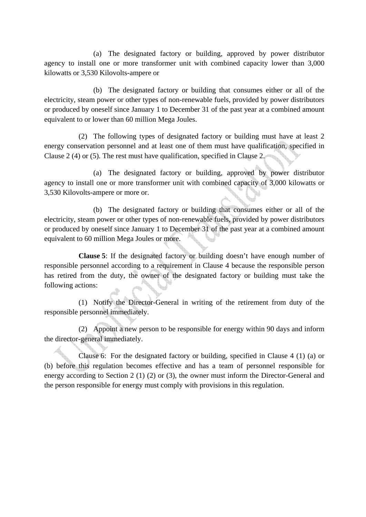(a) The designated factory or building, approved by power distributor agency to install one or more transformer unit with combined capacity lower than 3,000 kilowatts or 3,530 Kilovolts-ampere or

(b) The designated factory or building that consumes either or all of the electricity, steam power or other types of non-renewable fuels, provided by power distributors or produced by oneself since January 1 to December 31 of the past year at a combined amount equivalent to or lower than 60 million Mega Joules.

(2) The following types of designated factory or building must have at least 2 energy conservation personnel and at least one of them must have qualification, specified in Clause 2 (4) or (5). The rest must have qualification, specified in Clause 2.

(a) The designated factory or building, approved by power distributor agency to install one or more transformer unit with combined capacity of 3,000 kilowatts or 3,530 Kilovolts-ampere or more or.

(b) The designated factory or building that consumes either or all of the electricity, steam power or other types of non-renewable fuels, provided by power distributors or produced by oneself since January 1 to December 31 of the past year at a combined amount equivalent to 60 million Mega Joules or more.

**Clause 5**: If the designated factory or building doesn't have enough number of responsible personnel according to a requirement in Clause 4 because the responsible person has retired from the duty, the owner of the designated factory or building must take the following actions:

(1) Notify the Director-General in writing of the retirement from duty of the responsible personnel immediately.

(2) Appoint a new person to be responsible for energy within 90 days and inform the director-general immediately.

Clause 6: For the designated factory or building, specified in Clause 4 (1) (a) or (b) before this regulation becomes effective and has a team of personnel responsible for energy according to Section 2 (1) (2) or (3), the owner must inform the Director-General and the person responsible for energy must comply with provisions in this regulation.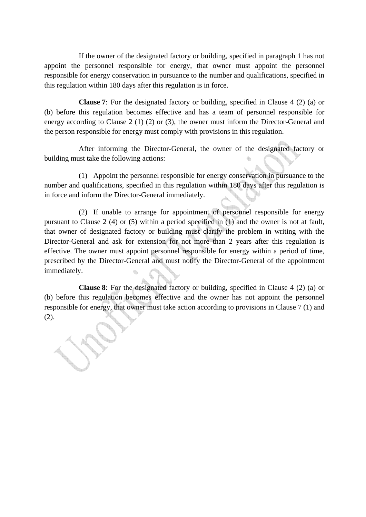If the owner of the designated factory or building, specified in paragraph 1 has not appoint the personnel responsible for energy, that owner must appoint the personnel responsible for energy conservation in pursuance to the number and qualifications, specified in this regulation within 180 days after this regulation is in force.

**Clause 7**: For the designated factory or building, specified in Clause 4 (2) (a) or (b) before this regulation becomes effective and has a team of personnel responsible for energy according to Clause 2 (1) (2) or (3), the owner must inform the Director-General and the person responsible for energy must comply with provisions in this regulation.

After informing the Director-General, the owner of the designated factory or building must take the following actions:

(1) Appoint the personnel responsible for energy conservation in pursuance to the number and qualifications, specified in this regulation within 180 days after this regulation is in force and inform the Director-General immediately.

(2) If unable to arrange for appointment of personnel responsible for energy pursuant to Clause 2 (4) or (5) within a period specified in (1) and the owner is not at fault, that owner of designated factory or building must clarify the problem in writing with the Director-General and ask for extension for not more than 2 years after this regulation is effective. The owner must appoint personnel responsible for energy within a period of time, prescribed by the Director-General and must notify the Director-General of the appointment immediately.

**Clause 8**: For the designated factory or building, specified in Clause 4 (2) (a) or (b) before this regulation becomes effective and the owner has not appoint the personnel responsible for energy, that owner must take action according to provisions in Clause 7 (1) and (2).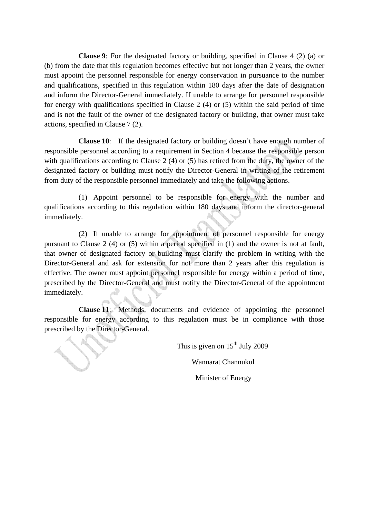**Clause 9**: For the designated factory or building, specified in Clause 4 (2) (a) or (b) from the date that this regulation becomes effective but not longer than 2 years, the owner must appoint the personnel responsible for energy conservation in pursuance to the number and qualifications, specified in this regulation within 180 days after the date of designation and inform the Director-General immediately. If unable to arrange for personnel responsible for energy with qualifications specified in Clause 2 (4) or (5) within the said period of time and is not the fault of the owner of the designated factory or building, that owner must take actions, specified in Clause 7 (2).

**Clause 10**: If the designated factory or building doesn't have enough number of responsible personnel according to a requirement in Section 4 because the responsible person with qualifications according to Clause 2 (4) or (5) has retired from the duty, the owner of the designated factory or building must notify the Director-General in writing of the retirement from duty of the responsible personnel immediately and take the following actions.

(1) Appoint personnel to be responsible for energy with the number and qualifications according to this regulation within 180 days and inform the director-general immediately.

(2) If unable to arrange for appointment of personnel responsible for energy pursuant to Clause 2 (4) or (5) within a period specified in (1) and the owner is not at fault, that owner of designated factory or building must clarify the problem in writing with the Director-General and ask for extension for not more than 2 years after this regulation is effective. The owner must appoint personnel responsible for energy within a period of time, prescribed by the Director-General and must notify the Director-General of the appointment immediately.

**Clause 11**: Methods, documents and evidence of appointing the personnel responsible for energy according to this regulation must be in compliance with those prescribed by the Director-General.

This is given on  $15<sup>th</sup>$  July 2009

Wannarat Channukul

Minister of Energy